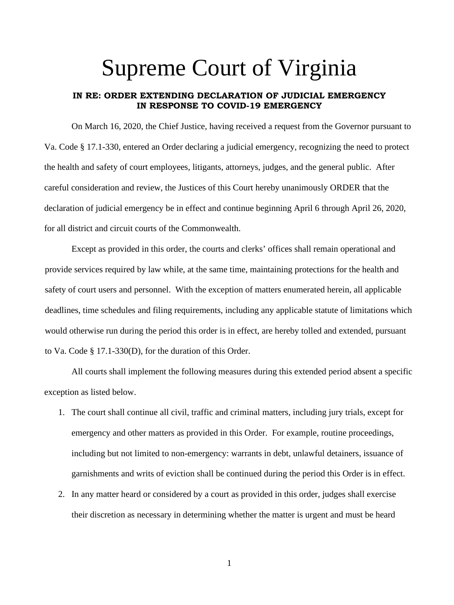## Supreme Court of Virginia

## **IN RE: ORDER EXTENDING DECLARATION OF JUDICIAL EMERGENCY IN RESPONSE TO COVID-19 EMERGENCY**

On March 16, 2020, the Chief Justice, having received a request from the Governor pursuant to Va. Code § 17.1-330, entered an Order declaring a judicial emergency, recognizing the need to protect the health and safety of court employees, litigants, attorneys, judges, and the general public. After careful consideration and review, the Justices of this Court hereby unanimously ORDER that the declaration of judicial emergency be in effect and continue beginning April 6 through April 26, 2020, for all district and circuit courts of the Commonwealth.

Except as provided in this order, the courts and clerks' offices shall remain operational and provide services required by law while, at the same time, maintaining protections for the health and safety of court users and personnel. With the exception of matters enumerated herein, all applicable deadlines, time schedules and filing requirements, including any applicable statute of limitations which would otherwise run during the period this order is in effect, are hereby tolled and extended, pursuant to Va. Code § 17.1-330(D), for the duration of this Order.

All courts shall implement the following measures during this extended period absent a specific exception as listed below.

- 1. The court shall continue all civil, traffic and criminal matters, including jury trials, except for emergency and other matters as provided in this Order. For example, routine proceedings, including but not limited to non-emergency: warrants in debt, unlawful detainers, issuance of garnishments and writs of eviction shall be continued during the period this Order is in effect.
- 2. In any matter heard or considered by a court as provided in this order, judges shall exercise their discretion as necessary in determining whether the matter is urgent and must be heard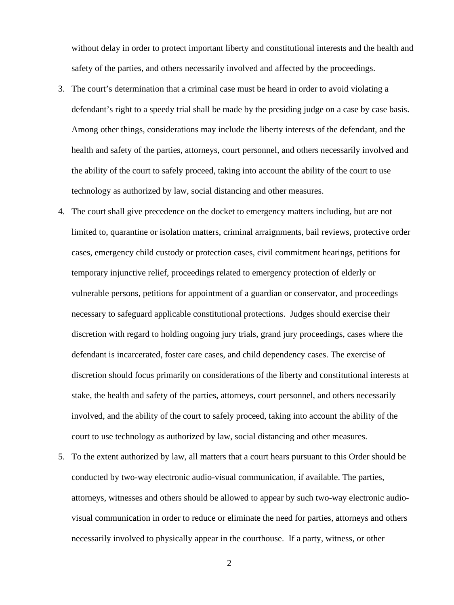without delay in order to protect important liberty and constitutional interests and the health and safety of the parties, and others necessarily involved and affected by the proceedings.

- 3. The court's determination that a criminal case must be heard in order to avoid violating a defendant's right to a speedy trial shall be made by the presiding judge on a case by case basis. Among other things, considerations may include the liberty interests of the defendant, and the health and safety of the parties, attorneys, court personnel, and others necessarily involved and the ability of the court to safely proceed, taking into account the ability of the court to use technology as authorized by law, social distancing and other measures.
- 4. The court shall give precedence on the docket to emergency matters including, but are not limited to, quarantine or isolation matters, criminal arraignments, bail reviews, protective order cases, emergency child custody or protection cases, civil commitment hearings, petitions for temporary injunctive relief, proceedings related to emergency protection of elderly or vulnerable persons, petitions for appointment of a guardian or conservator, and proceedings necessary to safeguard applicable constitutional protections. Judges should exercise their discretion with regard to holding ongoing jury trials, grand jury proceedings, cases where the defendant is incarcerated, foster care cases, and child dependency cases. The exercise of discretion should focus primarily on considerations of the liberty and constitutional interests at stake, the health and safety of the parties, attorneys, court personnel, and others necessarily involved, and the ability of the court to safely proceed, taking into account the ability of the court to use technology as authorized by law, social distancing and other measures.
- 5. To the extent authorized by law, all matters that a court hears pursuant to this Order should be conducted by two-way electronic audio-visual communication, if available. The parties, attorneys, witnesses and others should be allowed to appear by such two-way electronic audiovisual communication in order to reduce or eliminate the need for parties, attorneys and others necessarily involved to physically appear in the courthouse. If a party, witness, or other

2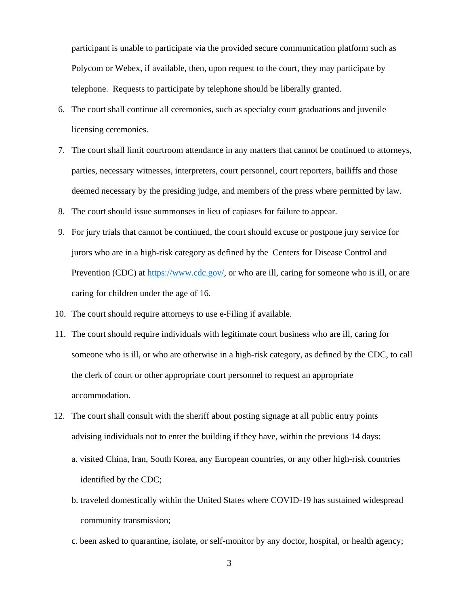participant is unable to participate via the provided secure communication platform such as Polycom or Webex, if available, then, upon request to the court, they may participate by telephone. Requests to participate by telephone should be liberally granted.

- 6. The court shall continue all ceremonies, such as specialty court graduations and juvenile licensing ceremonies.
- 7. The court shall limit courtroom attendance in any matters that cannot be continued to attorneys, parties, necessary witnesses, interpreters, court personnel, court reporters, bailiffs and those deemed necessary by the presiding judge, and members of the press where permitted by law.
- 8. The court should issue summonses in lieu of capiases for failure to appear.
- 9. For jury trials that cannot be continued, the court should excuse or postpone jury service for jurors who are in a high-risk category as defined by the Centers for Disease Control and Prevention (CDC) at [https://www.cdc.gov/,](https://www.cdc.gov/) or who are ill, caring for someone who is ill, or are caring for children under the age of 16.
- 10. The court should require attorneys to use e-Filing if available.
- 11. The court should require individuals with legitimate court business who are ill, caring for someone who is ill, or who are otherwise in a high-risk category, as defined by the CDC, to call the clerk of court or other appropriate court personnel to request an appropriate accommodation.
- 12. The court shall consult with the sheriff about posting signage at all public entry points advising individuals not to enter the building if they have, within the previous 14 days:
	- a. visited China, Iran, South Korea, any European countries, or any other high-risk countries identified by the CDC;
	- b. traveled domestically within the United States where COVID-19 has sustained widespread community transmission;
	- c. been asked to quarantine, isolate, or self-monitor by any doctor, hospital, or health agency;